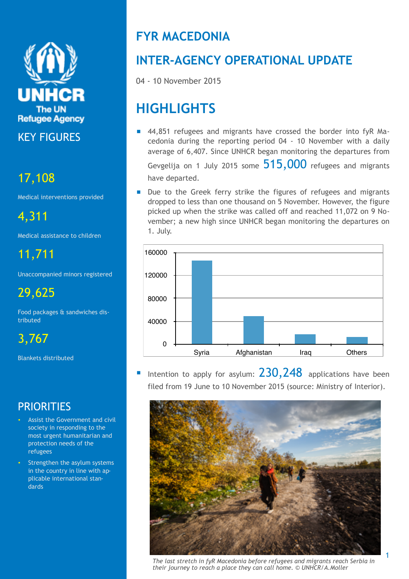

KEY FIGURES

# 17,108

Medical interventions provided

4,311

Medical assistance to children

11,711

Unaccompanied minors registered

29,625

Food packages & sandwiches distributed

3,767

Blankets distributed

## **PRIORITIES**

- Assist the Government and civil society in responding to the most urgent humanitarian and protection needs of the refugees
- Strengthen the asylum systems in the country in line with applicable international standards

# **FYR MACEDONIA**

# **INTER-AGENCY OPERATIONAL UPDATE**

04 - 10 November 2015

# **HIGHLIGHTS**

■ 44,851 refugees and migrants have crossed the border into fyR Macedonia during the reporting period 04 - 10 November with a daily average of 6,407. Since UNHCR began monitoring the departures from

Gevgelija on 1 July 2015 some  $515,000$  refugees and migrants have departed.

■ Due to the Greek ferry strike the figures of refugees and migrants dropped to less than one thousand on 5 November. However, the figure picked up when the strike was called off and reached 11,072 on 9 November; a new high since UNHCR began monitoring the departures on 1. July.



Intention to apply for asylum:  $230,248$  applications have been filed from 19 June to 10 November 2015 (source: Ministry of Interior).



*The last stretch in fyR Macedonia before refugees and migrants reach Serbia in their journey to reach a place they can call home. © UNHCR/A.Moller*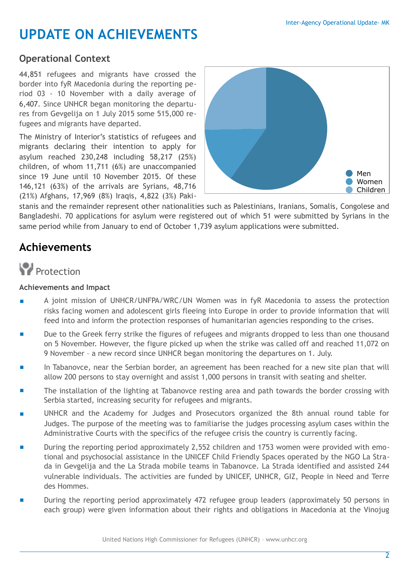# **UPDATE ON ACHIEVEMENTS**

### **Operational Context**

44,851 refugees and migrants have crossed the border into fyR Macedonia during the reporting period 03 - 10 November with a daily average of 6,407. Since UNHCR began monitoring the departures from Gevgelija on 1 July 2015 some 515,000 refugees and migrants have departed.

The Ministry of Interior's statistics of refugees and migrants declaring their intention to apply for asylum reached 230,248 including 58,217 (25%) children, of whom 11,711 (6%) are unaccompanied since 19 June until 10 November 2015. Of these 146,121 (63%) of the arrivals are Syrians, 48,716 (21%) Afghans, 17,969 (8%) Iraqis, 4,822 (3%) Paki-



stanis and the remainder represent other nationalities such as Palestinians, Iranians, Somalis, Congolese and Bangladeshi. 70 applications for asylum were registered out of which 51 were submitted by Syrians in the same period while from January to end of October 1,739 asylum applications were submitted.

## **Achievements**

# **Protection**

#### **Achievements and Impact**

- A joint mission of UNHCR/UNFPA/WRC/UN Women was in fyR Macedonia to assess the protection risks facing women and adolescent girls fleeing into Europe in order to provide information that will feed into and inform the protection responses of humanitarian agencies responding to the crises.
- Due to the Greek ferry strike the figures of refugees and migrants dropped to less than one thousand on 5 November. However, the figure picked up when the strike was called off and reached 11,072 on 9 November – a new record since UNHCR began monitoring the departures on 1. July.
- In Tabanovce, near the Serbian border, an agreement has been reached for a new site plan that will allow 200 persons to stay overnight and assist 1,000 persons in transit with seating and shelter.
- The installation of the lighting at Tabanovce resting area and path towards the border crossing with Serbia started, increasing security for refugees and migrants.
- UNHCR and the Academy for Judges and Prosecutors organized the 8th annual round table for Judges. The purpose of the meeting was to familiarise the judges processing asylum cases within the Administrative Courts with the specifics of the refugee crisis the country is currently facing.
- During the reporting period approximately 2,552 children and 1753 women were provided with emotional and psychosocial assistance in the UNICEF Child Friendly Spaces operated by the NGO La Strada in Gevgelija and the La Strada mobile teams in Tabanovce. La Strada identified and assisted 244 vulnerable individuals. The activities are funded by UNICEF, UNHCR, GIZ, People in Need and Terre des Hommes.
- During the reporting period approximately 472 refugee group leaders (approximately 50 persons in each group) were given information about their rights and obligations in Macedonia at the Vinojug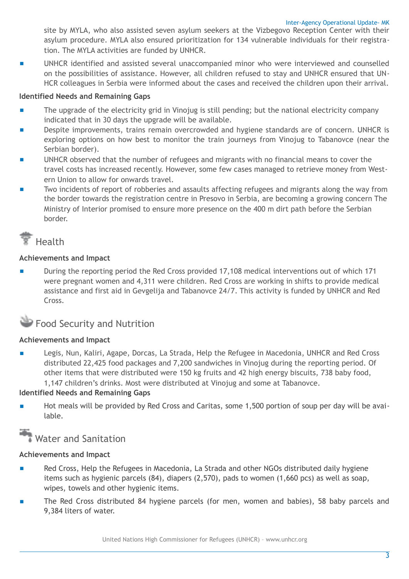site by MYLA, who also assisted seven asylum seekers at the Vizbegovo Reception Center with their asylum procedure. MYLA also ensured prioritization for 134 vulnerable individuals for their registration. The MYLA activities are funded by UNHCR.

UNHCR identified and assisted several unaccompanied minor who were interviewed and counselled on the possibilities of assistance. However, all children refused to stay and UNHCR ensured that UN-HCR colleagues in Serbia were informed about the cases and received the children upon their arrival.

#### **Identified Needs and Remaining Gaps**

- The upgrade of the electricity grid in Vinojug is still pending; but the national electricity company indicated that in 30 days the upgrade will be available.
- Despite improvements, trains remain overcrowded and hygiene standards are of concern. UNHCR is exploring options on how best to monitor the train journeys from Vinojug to Tabanovce (near the Serbian border).
- UNHCR observed that the number of refugees and migrants with no financial means to cover the travel costs has increased recently. However, some few cases managed to retrieve money from Western Union to allow for onwards travel.
- Two incidents of report of robberies and assaults affecting refugees and migrants along the way from the border towards the registration centre in Presovo in Serbia, are becoming a growing concern The Ministry of Interior promised to ensure more presence on the 400 m dirt path before the Serbian border.

## **H**ealth

#### **Achievements and Impact**

■ During the reporting period the Red Cross provided 17,108 medical interventions out of which 171 were pregnant women and 4,311 were children. Red Cross are working in shifts to provide medical assistance and first aid in Gevgelija and Tabanovce 24/7. This activity is funded by UNHCR and Red Cross.

### **Food Security and Nutrition**

#### **Achievements and Impact**

Legis, Nun, Kaliri, Agape, Dorcas, La Strada, Help the Refugee in Macedonia, UNHCR and Red Cross distributed 22,425 food packages and 7,200 sandwiches in Vinojug during the reporting period. Of other items that were distributed were 150 kg fruits and 42 high energy biscuits, 738 baby food, 1,147 children's drinks. Most were distributed at Vinojug and some at Tabanovce.

#### **Identified Needs and Remaining Gaps**

■ Hot meals will be provided by Red Cross and Caritas, some 1,500 portion of soup per day will be available.

## Water and Sanitation

#### **Achievements and Impact**

- Red Cross, Help the Refugees in Macedonia, La Strada and other NGOs distributed daily hygiene items such as hygienic parcels (84), diapers (2,570), pads to women (1,660 pcs) as well as soap, wipes, towels and other hygienic items.
- The Red Cross distributed 84 hygiene parcels (for men, women and babies), 58 baby parcels and 9,384 liters of water.